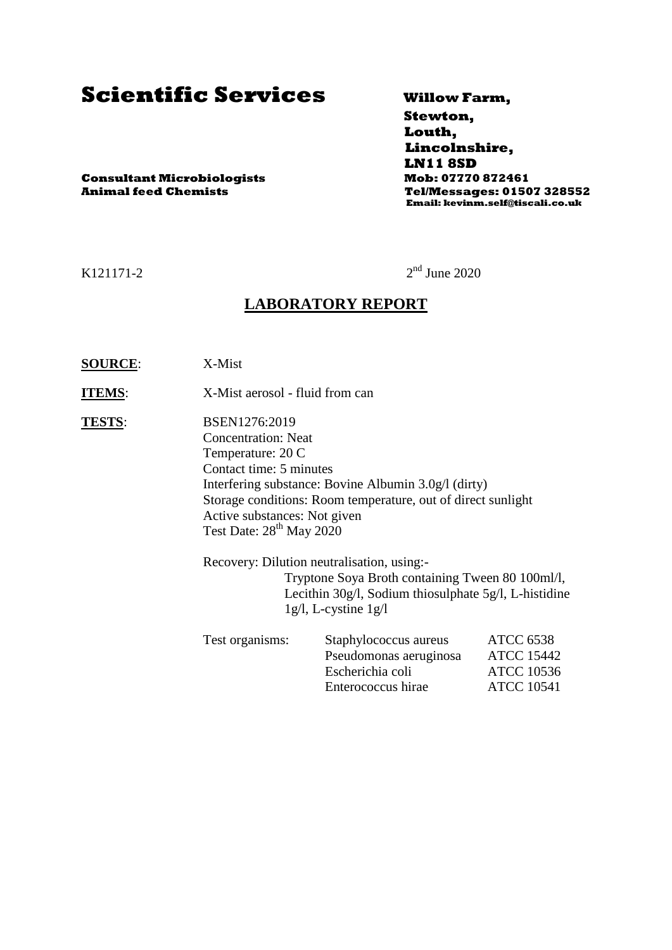# **Scientific Services Willow Farm,**

 **Stewton, Louth, Lincolnshire, LN11 8SD Animal feed Chemists Tel/Messages: 01507 328552 Email: kevinm.self@tiscali.co.uk**

**Consultant Microbiologists Mob: 07770 872461**

#### K121171-2

 $2<sup>nd</sup>$  June 2020

### **LABORATORY REPORT**

**SOURCE**: X-Mist

**ITEMS:** X-Mist aerosol - fluid from can

**TESTS**: BSEN1276:2019 Concentration: Neat Temperature: 20 C Contact time: 5 minutes Interfering substance: Bovine Albumin 3.0g/l (dirty) Storage conditions: Room temperature, out of direct sunlight Active substances: Not given Test Date:  $28^{th}$  May  $2020$ 

> Recovery: Dilution neutralisation, using:- Tryptone Soya Broth containing Tween 80 100ml/l, Lecithin 30g/l, Sodium thiosulphate 5g/l, L-histidine 1g/l, L-cystine 1g/l

| Test organisms: | Staphylococcus aureus  | <b>ATCC 6538</b>  |
|-----------------|------------------------|-------------------|
|                 | Pseudomonas aeruginosa | <b>ATCC 15442</b> |
|                 | Escherichia coli       | <b>ATCC 10536</b> |
|                 | Enterococcus hirae     | <b>ATCC 10541</b> |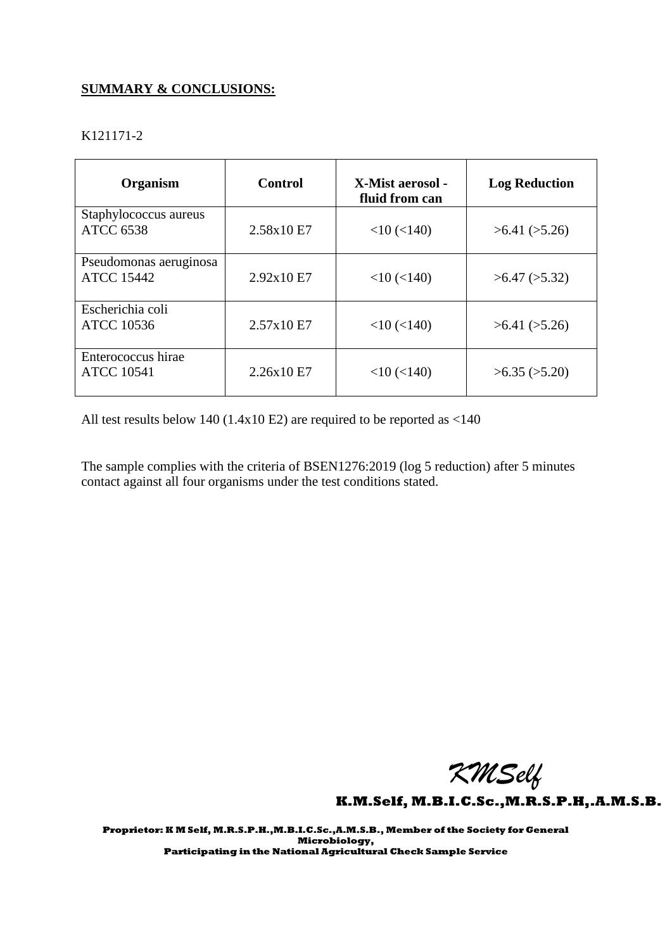### **SUMMARY & CONCLUSIONS:**

| K121171-2 |
|-----------|
|           |

| Organism                                    | <b>Control</b> | X-Mist aerosol -<br>fluid from can | <b>Log Reduction</b> |
|---------------------------------------------|----------------|------------------------------------|----------------------|
| Staphylococcus aureus<br><b>ATCC 6538</b>   | 2.58x10 E7     | $<$ 10 $(<$ 140)                   | >6.41 (>5.26)        |
| Pseudomonas aeruginosa<br><b>ATCC 15442</b> | 2.92x10E7      | $<$ 10 ( $<$ 140)                  | $>6.47$ ( $>5.32$ )  |
| Escherichia coli<br><b>ATCC 10536</b>       | 2.57x10E7      | $<$ 10 $(<$ 140)                   | >6.41 (>5.26)        |
| Enterococcus hirae<br><b>ATCC 10541</b>     | 2.26x10 E7     | $<$ 10 ( $<$ 140)                  | $>6.35$ ( $>5.20$ )  |

All test results below 140 (1.4x10 E2) are required to be reported as <140

The sample complies with the criteria of BSEN1276:2019 (log 5 reduction) after 5 minutes contact against all four organisms under the test conditions stated.

 *KMSelf*

**K.M.Self, M.B.I.C.Sc.,M.R.S.P.H,.A.M.S.B.** 

**Proprietor: K M Self, M.R.S.P.H.,M.B.I.C.Sc.,A.M.S.B., Member of the Society for General Microbiology, Participating in the National Agricultural Check Sample Service**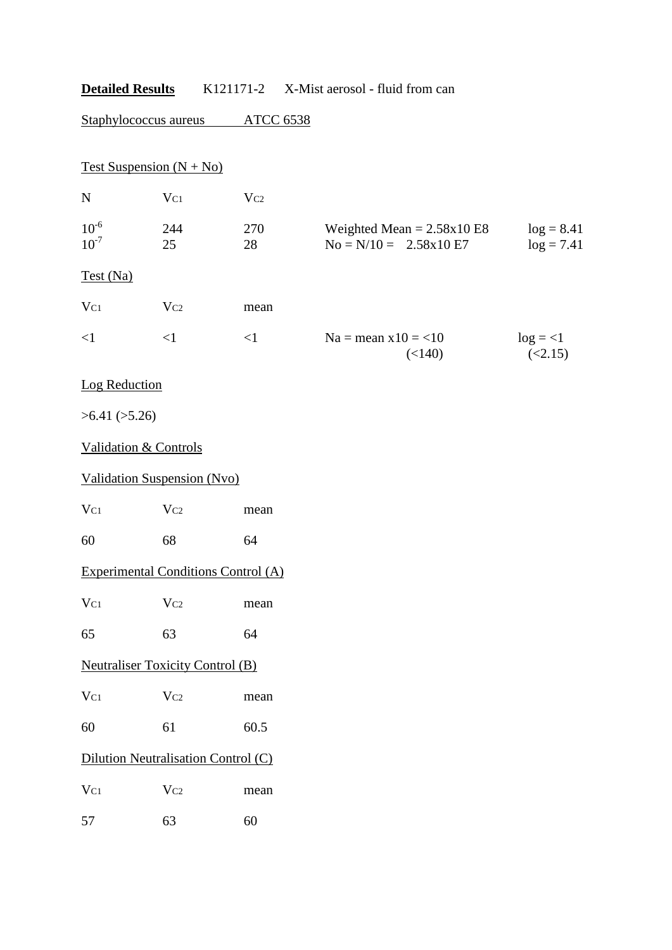|                                  | Staphylococcus aureus                      | <b>ATCC 6538</b> |                                                         |                              |
|----------------------------------|--------------------------------------------|------------------|---------------------------------------------------------|------------------------------|
| Test Suspension $(N + No)$       |                                            |                  |                                                         |                              |
| ${\bf N}$                        | $V_{C1}$                                   | Vc2              |                                                         |                              |
| $10^{-6}$<br>$10^{-7}$           | 244<br>25                                  | 270<br>28        | Weighted Mean = $2.58x10E8$<br>$No = N/10 = 2.58x10 E7$ | $log = 8.41$<br>$log = 7.41$ |
| Test (Na)                        |                                            |                  |                                                         |                              |
| $V_{C1}$                         | $V_{C2}$                                   | mean             |                                                         |                              |
| $\leq$ 1                         | $\leq$ 1                                   | $\leq$ 1         | $Na = mean x10 = 10$<br>(<140)                          | $log = <1$<br>(<2.15)        |
| Log Reduction                    |                                            |                  |                                                         |                              |
| >6.41 (>5.26)                    |                                            |                  |                                                         |                              |
| <b>Validation &amp; Controls</b> |                                            |                  |                                                         |                              |
|                                  | <b>Validation Suspension (Nvo)</b>         |                  |                                                         |                              |
| $V_{C1}$                         | Vc2                                        | mean             |                                                         |                              |
| 60                               | 68                                         | 64               |                                                         |                              |
|                                  | <b>Experimental Conditions Control (A)</b> |                  |                                                         |                              |
| $V_{C1}$                         | Vc2                                        | mean             |                                                         |                              |
| 65                               | 63                                         | 64               |                                                         |                              |
|                                  | <b>Neutraliser Toxicity Control (B)</b>    |                  |                                                         |                              |
| $V_{C1}$                         | Vc2                                        | mean             |                                                         |                              |
| 60                               | 61                                         | 60.5             |                                                         |                              |
|                                  | Dilution Neutralisation Control (C)        |                  |                                                         |                              |
| $\rm V_{C1}$                     | Vc2                                        | mean             |                                                         |                              |
| 57                               | 63                                         | 60               |                                                         |                              |
|                                  |                                            |                  |                                                         |                              |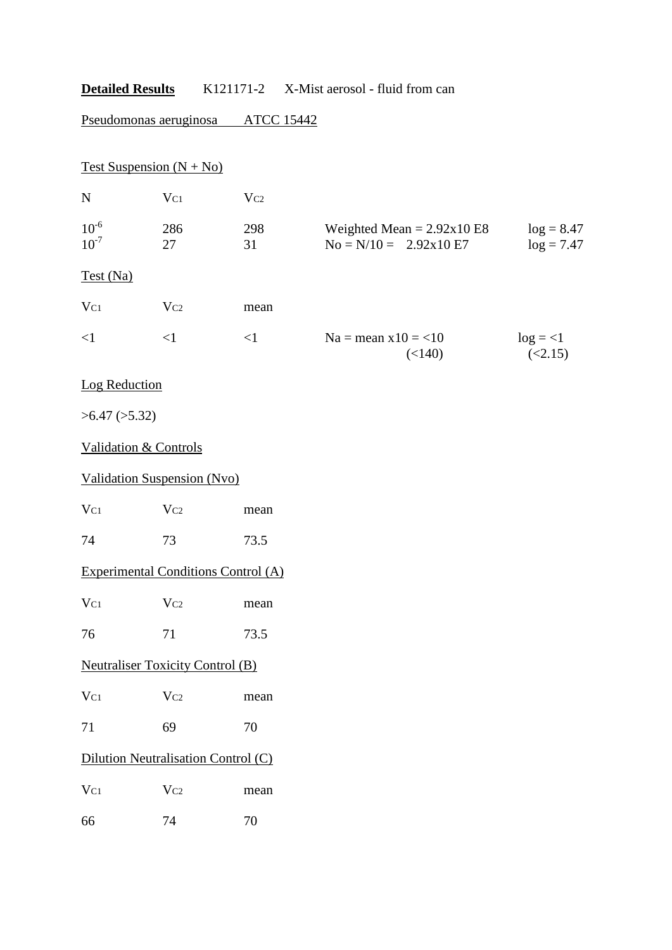Pseudomonas aeruginosa ATCC 15442

|                        | Test Suspension $(N + No)$                 |           |                                                         |                              |
|------------------------|--------------------------------------------|-----------|---------------------------------------------------------|------------------------------|
| ${\bf N}$              | $V_{C1}$                                   | $V_{C2}$  |                                                         |                              |
| $10^{-6}$<br>$10^{-7}$ | 286<br>27                                  | 298<br>31 | Weighted Mean = $2.92x10E8$<br>$No = N/10 = 2.92x10 E7$ | $log = 8.47$<br>$log = 7.47$ |
| Test (Na)              |                                            |           |                                                         |                              |
| $V_{C1}$               | $V_{C2}$                                   | mean      |                                                         |                              |
| $\leq$ 1               | $\leq$ 1                                   | <1        | $Na = mean x10 = 10$<br>(<140)                          | $log = <1$<br>(<2.15)        |
| Log Reduction          |                                            |           |                                                         |                              |
| $>6.47$ ( $>5.32$ )    |                                            |           |                                                         |                              |
|                        | <b>Validation &amp; Controls</b>           |           |                                                         |                              |
|                        | <b>Validation Suspension (Nvo)</b>         |           |                                                         |                              |
| $V_{C1}$               | $V_{C2}$                                   | mean      |                                                         |                              |
| 74                     | 73                                         | 73.5      |                                                         |                              |
|                        | <b>Experimental Conditions Control (A)</b> |           |                                                         |                              |
| $V_{C1}$               | $V_{C2}$                                   | mean      |                                                         |                              |
| 76                     | 71                                         | 73.5      |                                                         |                              |
|                        | <b>Neutraliser Toxicity Control (B)</b>    |           |                                                         |                              |
| $V_{C1}$               | Vc2                                        | mean      |                                                         |                              |
| 71                     | 69                                         | 70        |                                                         |                              |
|                        | Dilution Neutralisation Control (C)        |           |                                                         |                              |
| $\rm V_{C1}$           | Vc2                                        | mean      |                                                         |                              |
| 66                     | 74                                         | 70        |                                                         |                              |
|                        |                                            |           |                                                         |                              |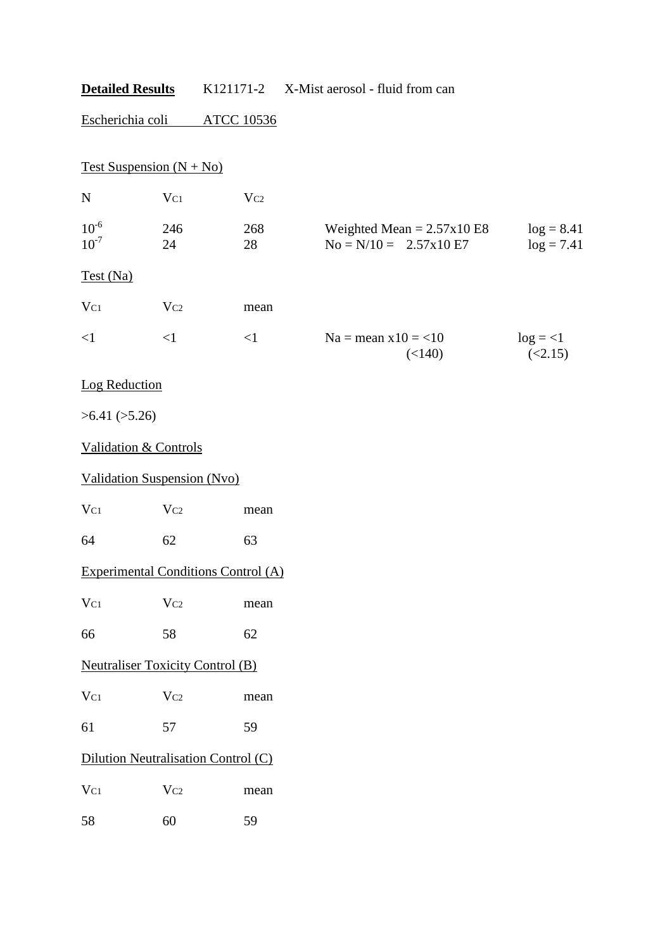Escherichia coli ATCC 10536

Test Suspension  $(N + No)$ 

| N                      | $\rm V_{C1}$ | $\rm V_{C2}$ |                                                         |                              |
|------------------------|--------------|--------------|---------------------------------------------------------|------------------------------|
| $10^{-6}$<br>$10^{-7}$ | 246<br>24    | 268<br>28    | Weighted Mean $= 2.57x10E8$<br>$No = N/10 = 2.57x10 E7$ | $log = 8.41$<br>$log = 7.41$ |
| Test (Na)              |              |              |                                                         |                              |
| $V_{C1}$               | $\rm V_{C2}$ | mean         |                                                         |                              |
| $\leq$ 1               | $<$ 1        | $\leq$ 1     | $Na =$ mean $x10 = 10$<br>(<140)                        | $log = <1$<br>(2.15)         |

### Log Reduction

 $>6.41$  ( $>5.26$ )

#### Validation & Controls

### Validation Suspension (Nvo)

V<sub>C1</sub> V<sub>C2</sub> mean

64 62 63

# Experimental Conditions Control (A)

| $V_{C1}$ | $V_{C2}$ | mean |
|----------|----------|------|
|          |          |      |

66 58 62

## Neutraliser Toxicity Control (B)

| $V_{C1}$ | $V_{C2}$ | mean |
|----------|----------|------|
|          |          |      |

61 57 59

### Dilution Neutralisation Control (C)

| $V_{C1}$ | $V_{C2}$ | mean |
|----------|----------|------|
| 58       | 60       | 59   |